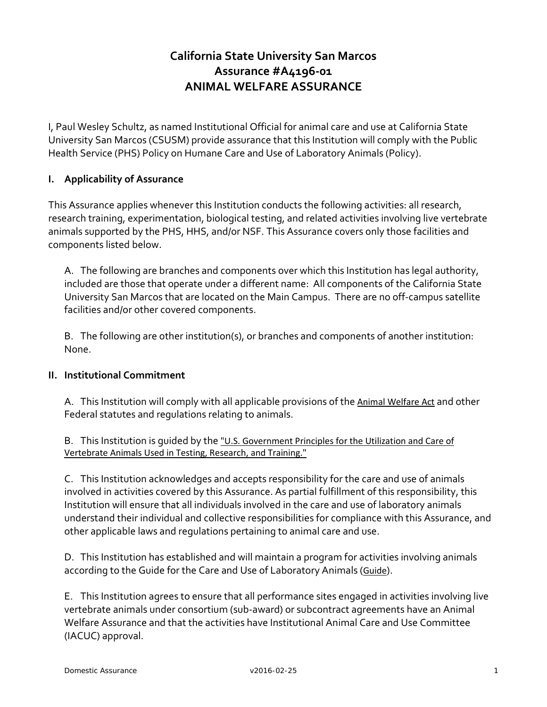# **California State University San Marcos Assurance #A4196-01 ANIMAL WELFARE ASSURANCE**

I, Paul Wesley Schultz, as named Institutional Official for animal care and use at California State University San Marcos (CSUSM) provide assurance that this Institution will comply with the Public Health Service (PHS) Policy on Humane Care and Use of Laboratory Animals (Policy).

#### **I. Applicability of Assurance**

This Assurance applies whenever this Institution conducts the following activities: all research, research training, experimentation, biological testing, and related activities involving live vertebrate animals supported by the PHS, HHS, and/or NSF. This Assurance covers only those facilities and components listed below.

A. The following are branches and components over which this Institution has legal authority, included are those that operate under a different name: All components of the California State University San Marcos that are located on the Main Campus. There are no off-campus satellite facilities and/or other covered components.

B. The following are other institution(s), or branches and components of another institution: None.

#### **II. Institutional Commitment**

A. This Institution will comply with all applicable provisions of the [Animal Welfare Act](http://www.nal.usda.gov/awic/legislat/awa.htm) and other Federal statutes and regulations relating to animals.

B. This Institution is guided by the ["U.S. Government Principles for the Utilization and Care of](http://grants.nih.gov/grants/olaw/references/phspol.htm#USGovPrinciples)  [Vertebrate Animals Used in Testing, Research, and Training."](http://grants.nih.gov/grants/olaw/references/phspol.htm#USGovPrinciples)

C. This Institution acknowledges and accepts responsibility for the care and use of animals involved in activities covered by this Assurance. As partial fulfillment of this responsibility, this Institution will ensure that all individuals involved in the care and use of laboratory animals understand their individual and collective responsibilities for compliance with this Assurance, and other applicable laws and regulations pertaining to animal care and use.

D. This Institution has established and will maintain a program for activities involving animals according to the Guide for the Care and Use of Laboratory Animals ([Guide](http://www.nap.edu/catalog.php?record_id=12910)).

E. This Institution agrees to ensure that all performance sites engaged in activities involving live vertebrate animals under consortium (sub-award) or subcontract agreements have an Animal Welfare Assurance and that the activities have Institutional Animal Care and Use Committee (IACUC) approval.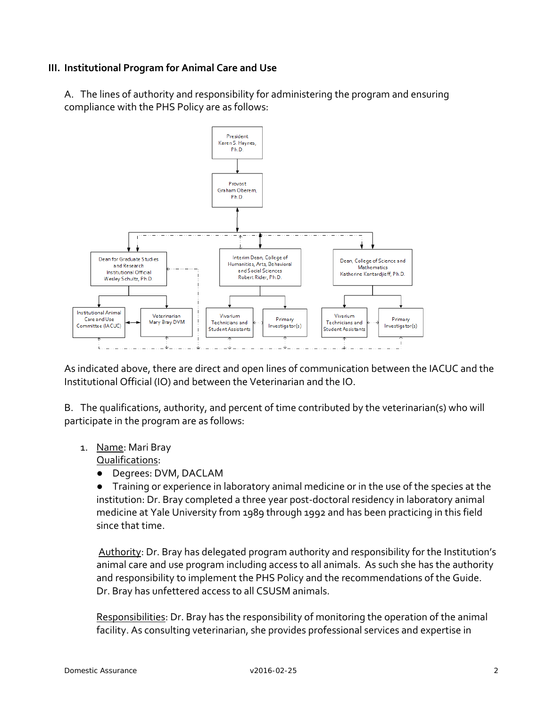# **III. Institutional Program for Animal Care and Use**

A. The lines of authority and responsibility for administering the program and ensuring compliance with the PHS Policy are as follows:



As indicated above, there are direct and open lines of communication between the IACUC and the Institutional Official (IO) and between the Veterinarian and the IO.

B. The qualifications, authority, and percent of time contributed by the veterinarian(s) who will participate in the program are as follows:

1. Name: Mari Bray

Qualifications:

- Degrees: DVM, DACLAM
- Training or experience in laboratory animal medicine or in the use of the species at the institution: Dr. Bray completed a three year post-doctoral residency in laboratory animal medicine at Yale University from 1989 through 1992 and has been practicing in this field since that time.

Authority: Dr. Bray has delegated program authority and responsibility for the Institution's animal care and use program including access to all animals. As such she has the authority and responsibility to implement the PHS Policy and the recommendations of the Guide. Dr. Bray has unfettered access to all CSUSM animals.

Responsibilities: Dr. Bray has the responsibility of monitoring the operation of the animal facility. As consulting veterinarian, she provides professional services and expertise in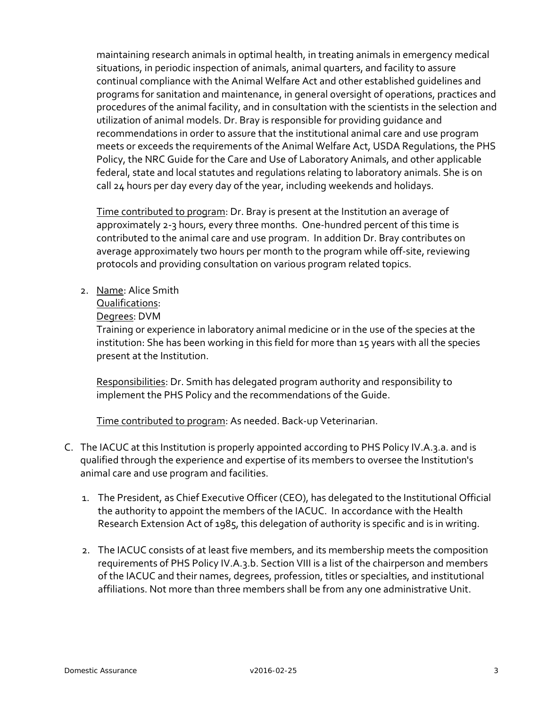maintaining research animals in optimal health, in treating animals in emergency medical situations, in periodic inspection of animals, animal quarters, and facility to assure continual compliance with the Animal Welfare Act and other established guidelines and programs for sanitation and maintenance, in general oversight of operations, practices and procedures of the animal facility, and in consultation with the scientists in the selection and utilization of animal models. Dr. Bray is responsible for providing guidance and recommendations in order to assure that the institutional animal care and use program meets or exceeds the requirements of the Animal Welfare Act, USDA Regulations, the PHS Policy, the NRC Guide for the Care and Use of Laboratory Animals, and other applicable federal, state and local statutes and regulations relating to laboratory animals. She is on call 24 hours per day every day of the year, including weekends and holidays.

Time contributed to program: Dr. Bray is present at the Institution an average of approximately 2-3 hours, every three months. One-hundred percent of this time is contributed to the animal care and use program. In addition Dr. Bray contributes on average approximately two hours per month to the program while off-site, reviewing protocols and providing consultation on various program related topics.

2. Name: Alice Smith

Qualifications:

#### Degrees: DVM

Training or experience in laboratory animal medicine or in the use of the species at the institution: She has been working in this field for more than 15 years with all the species present at the Institution.

Responsibilities: Dr. Smith has delegated program authority and responsibility to implement the PHS Policy and the recommendations of the Guide.

Time contributed to program: As needed. Back-up Veterinarian.

- C. The IACUC at this Institution is properly appointed according to PHS Policy IV.A.3.a. and is qualified through the experience and expertise of its members to oversee the Institution's animal care and use program and facilities.
	- 1. The President, as Chief Executive Officer (CEO), has delegated to the Institutional Official the authority to appoint the members of the IACUC. In accordance with the Health Research Extension Act of 1985, this delegation of authority is specific and is in writing.
	- 2. The IACUC consists of at least five members, and its membership meets the composition requirements of PHS Policy IV.A.3.b. Section VIII is a list of the chairperson and members of the IACUC and their names, degrees, profession, titles or specialties, and institutional affiliations. Not more than three members shall be from any one administrative Unit.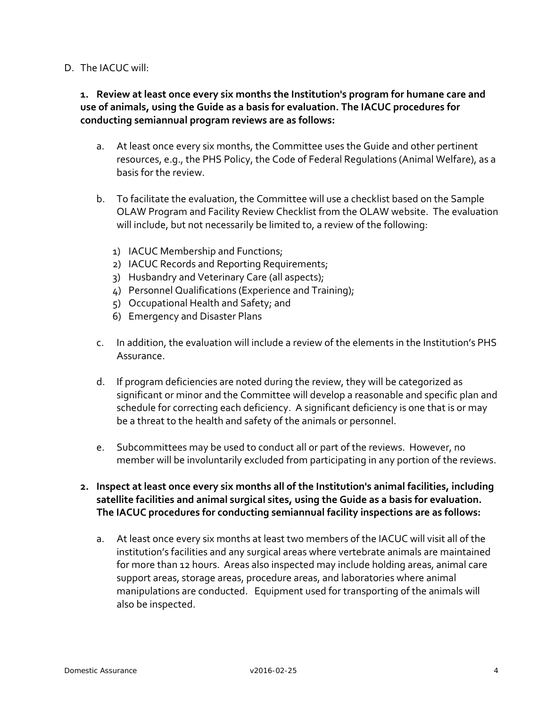#### D. The IACUC will:

## **1. Review at least once every six months the Institution's program for humane care and use of animals, using the Guide as a basis for evaluation. The IACUC procedures for conducting semiannual program reviews are as follows:**

- a. At least once every six months, the Committee uses the Guide and other pertinent resources, e.g., the PHS Policy, the Code of Federal Regulations (Animal Welfare), as a basis for the review.
- b. To facilitate the evaluation, the Committee will use a checklist based on the Sample OLAW Program and Facility Review Checklist from the OLAW website. The evaluation will include, but not necessarily be limited to, a review of the following:
	- 1) IACUC Membership and Functions;
	- 2) IACUC Records and Reporting Requirements;
	- 3) Husbandry and Veterinary Care (all aspects);
	- 4) Personnel Qualifications (Experience and Training);
	- 5) Occupational Health and Safety; and
	- 6) Emergency and Disaster Plans
- c. In addition, the evaluation will include a review of the elements in the Institution's PHS Assurance.
- d. If program deficiencies are noted during the review, they will be categorized as significant or minor and the Committee will develop a reasonable and specific plan and schedule for correcting each deficiency. A significant deficiency is one that is or may be a threat to the health and safety of the animals or personnel.
- e. Subcommittees may be used to conduct all or part of the reviews. However, no member will be involuntarily excluded from participating in any portion of the reviews.
- **2. Inspect at least once every six months all of the Institution's animal facilities, including satellite facilities and animal surgical sites, using the Guide as a basis for evaluation. The IACUC procedures for conducting semiannual facility inspections are as follows:**
	- a. At least once every six months at least two members of the IACUC will visit all of the institution's facilities and any surgical areas where vertebrate animals are maintained for more than 12 hours. Areas also inspected may include holding areas, animal care support areas, storage areas, procedure areas, and laboratories where animal manipulations are conducted. Equipment used for transporting of the animals will also be inspected.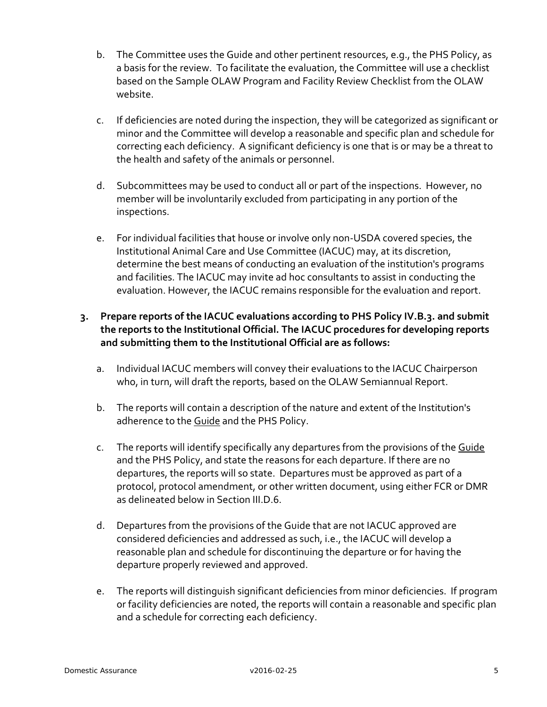- b. The Committee uses the Guide and other pertinent resources, e.g., the PHS Policy, as a basis for the review. To facilitate the evaluation, the Committee will use a checklist based on the Sample OLAW Program and Facility Review Checklist from the OLAW website.
- c. If deficiencies are noted during the inspection, they will be categorized as significant or minor and the Committee will develop a reasonable and specific plan and schedule for correcting each deficiency. A significant deficiency is one that is or may be a threat to the health and safety of the animals or personnel.
- d. Subcommittees may be used to conduct all or part of the inspections. However, no member will be involuntarily excluded from participating in any portion of the inspections.
- e. For individual facilities that house or involve only non-USDA covered species, the Institutional Animal Care and Use Committee (IACUC) may, at its discretion, determine the best means of conducting an evaluation of the institution's programs and facilities. The IACUC may invite ad hoc consultants to assist in conducting the evaluation. However, the IACUC remains responsible for the evaluation and report.

# **3. Prepare reports of the IACUC evaluations according to PHS Policy IV.B.3. and submit the reports to the Institutional Official. The IACUC procedures for developing reports and submitting them to the Institutional Official are as follows:**

- a. Individual IACUC members will convey their evaluations to the IACUC Chairperson who, in turn, will draft the reports, based on the OLAW Semiannual Report.
- b. The reports will contain a description of the nature and extent of the Institution's adherence to the [Guide](http://www.nap.edu/readingroom/books/labrats/) and the PHS Policy.
- c. The reports will identify specifically any departures from the provisions of the [Guide](http://www.nap.edu/readingroom/books/labrats/) and the PHS Policy, and state the reasons for each departure. If there are no departures, the reports will so state. Departures must be approved as part of a protocol, protocol amendment, or other written document, using either FCR or DMR as delineated below in Section III.D.6.
- d. Departures from the provisions of the Guide that are not IACUC approved are considered deficiencies and addressed as such, i.e., the IACUC will develop a reasonable plan and schedule for discontinuing the departure or for having the departure properly reviewed and approved.
- e. The reports will distinguish significant deficiencies from minor deficiencies. If program or facility deficiencies are noted, the reports will contain a reasonable and specific plan and a schedule for correcting each deficiency.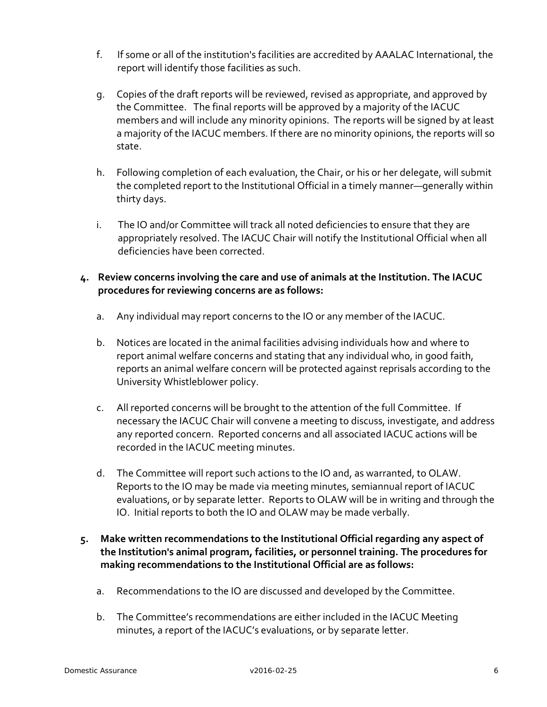- f. If some or all of the institution's facilities are accredited by AAALAC International, the report will identify those facilities as such.
- g. Copies of the draft reports will be reviewed, revised as appropriate, and approved by the Committee. The final reports will be approved by a majority of the IACUC members and will include any minority opinions. The reports will be signed by at least a majority of the IACUC members. If there are no minority opinions, the reports will so state.
- h. Following completion of each evaluation, the Chair, or his or her delegate, will submit the completed report to the Institutional Official in a timely manner—generally within thirty days.
- i. The IO and/or Committee will track all noted deficiencies to ensure that they are appropriately resolved. The IACUC Chair will notify the Institutional Official when all deficiencies have been corrected.

# **4. Review concerns involving the care and use of animals at the Institution. The IACUC procedures for reviewing concerns are as follows:**

- a. Any individual may report concerns to the IO or any member of the IACUC.
- b. Notices are located in the animal facilities advising individuals how and where to report animal welfare concerns and stating that any individual who, in good faith, reports an animal welfare concern will be protected against reprisals according to the University Whistleblower policy.
- c. All reported concerns will be brought to the attention of the full Committee. If necessary the IACUC Chair will convene a meeting to discuss, investigate, and address any reported concern. Reported concerns and all associated IACUC actions will be recorded in the IACUC meeting minutes.
- d. The Committee will report such actions to the IO and, as warranted, to OLAW. Reports to the IO may be made via meeting minutes, semiannual report of IACUC evaluations, or by separate letter. Reports to OLAW will be in writing and through the IO. Initial reports to both the IO and OLAW may be made verbally.
- **5. Make written recommendations to the Institutional Official regarding any aspect of the Institution's animal program, facilities, or personnel training. The procedures for making recommendations to the Institutional Official are as follows:** 
	- a. Recommendations to the IO are discussed and developed by the Committee.
	- b. The Committee's recommendations are either included in the IACUC Meeting minutes, a report of the IACUC's evaluations, or by separate letter.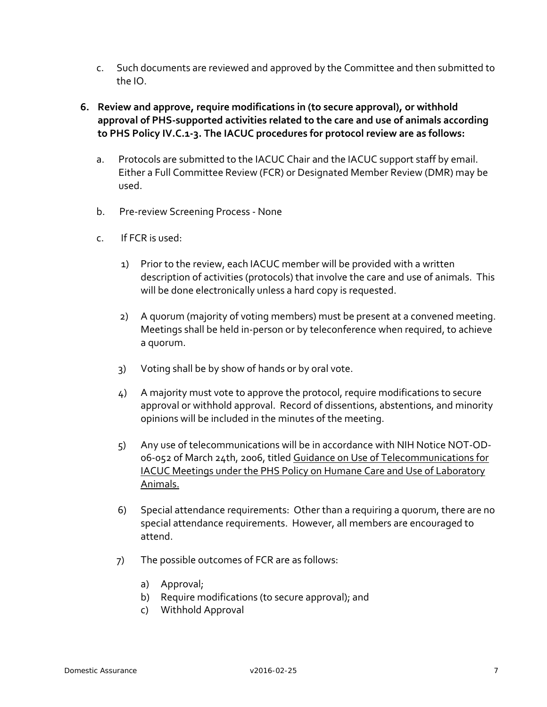- c. Such documents are reviewed and approved by the Committee and then submitted to the IO.
- **6. Review and approve, require modifications in (to secure approval), or withhold approval of PHS-supported activities related to the care and use of animals according to PHS Policy IV.C.1-3. The IACUC procedures for protocol review are as follows:**
	- a. Protocols are submitted to the IACUC Chair and the IACUC support staff by email. Either a Full Committee Review (FCR) or Designated Member Review (DMR) may be used.
	- b. Pre-review Screening Process None
	- c. If FCR is used:
		- 1) Prior to the review, each IACUC member will be provided with a written description of activities (protocols) that involve the care and use of animals. This will be done electronically unless a hard copy is requested.
		- 2) A quorum (majority of voting members) must be present at a convened meeting. Meetings shall be held in-person or by teleconference when required, to achieve a quorum.
		- 3) Voting shall be by show of hands or by oral vote.
		- 4) A majority must vote to approve the protocol, require modifications to secure approval or withhold approval. Record of dissentions, abstentions, and minority opinions will be included in the minutes of the meeting.
		- 5) Any use of telecommunications will be in accordance with NIH Notice NOT-OD-06-052 of March 24th, 2006, titled [Guidance on Use of Telecommunications for](http://grants.nih.gov/grants/guide/notice-files/NOT-OD-06-052.html)  [IACUC Meetings under the PHS Policy on Humane Care and Use of Laboratory](http://grants.nih.gov/grants/guide/notice-files/NOT-OD-06-052.html)  [Animals.](http://grants.nih.gov/grants/guide/notice-files/NOT-OD-06-052.html)
		- 6) Special attendance requirements: Other than a requiring a quorum, there are no special attendance requirements. However, all members are encouraged to attend.
		- 7) The possible outcomes of FCR are as follows:
			- a) Approval;
			- b) Require modifications (to secure approval); and
			- c) Withhold Approval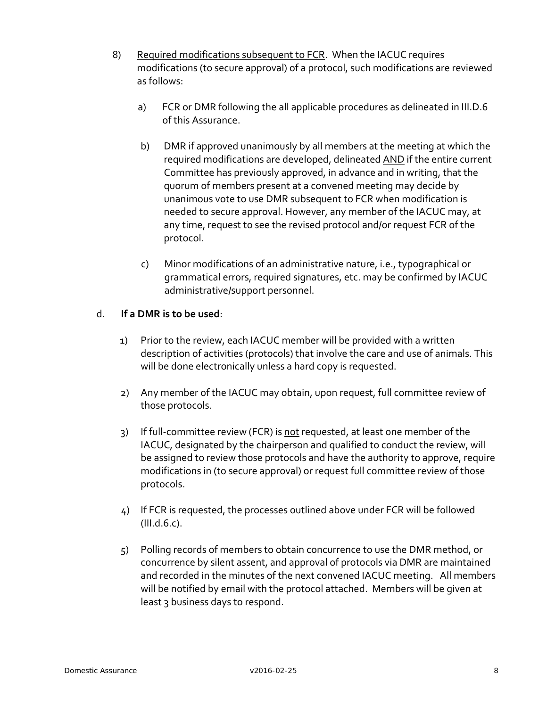- 8) Required modifications subsequent to FCR. When the IACUC requires modifications (to secure approval) of a protocol, such modifications are reviewed as follows:
	- a) FCR or DMR following the all applicable procedures as delineated in III.D.6 of this Assurance.
	- b) DMR if approved unanimously by all members at the meeting at which the required modifications are developed, delineated AND if the entire current Committee has previously approved, in advance and in writing, that the quorum of members present at a convened meeting may decide by unanimous vote to use DMR subsequent to FCR when modification is needed to secure approval. However, any member of the IACUC may, at any time, request to see the revised protocol and/or request FCR of the protocol.
	- c) Minor modifications of an administrative nature, i.e., typographical or grammatical errors, required signatures, etc. may be confirmed by IACUC administrative/support personnel.

#### d. **If a DMR is to be used**:

- 1) Prior to the review, each IACUC member will be provided with a written description of activities (protocols) that involve the care and use of animals. This will be done electronically unless a hard copy is requested.
- 2) Any member of the IACUC may obtain, upon request, full committee review of those protocols.
- 3) If full-committee review (FCR) is not requested, at least one member of the IACUC, designated by the chairperson and qualified to conduct the review, will be assigned to review those protocols and have the authority to approve, require modifications in (to secure approval) or request full committee review of those protocols.
- 4) If FCR is requested, the processes outlined above under FCR will be followed (III.d.6.c).
- 5) Polling records of members to obtain concurrence to use the DMR method, or concurrence by silent assent, and approval of protocols via DMR are maintained and recorded in the minutes of the next convened IACUC meeting. All members will be notified by email with the protocol attached. Members will be given at least 3 business days to respond.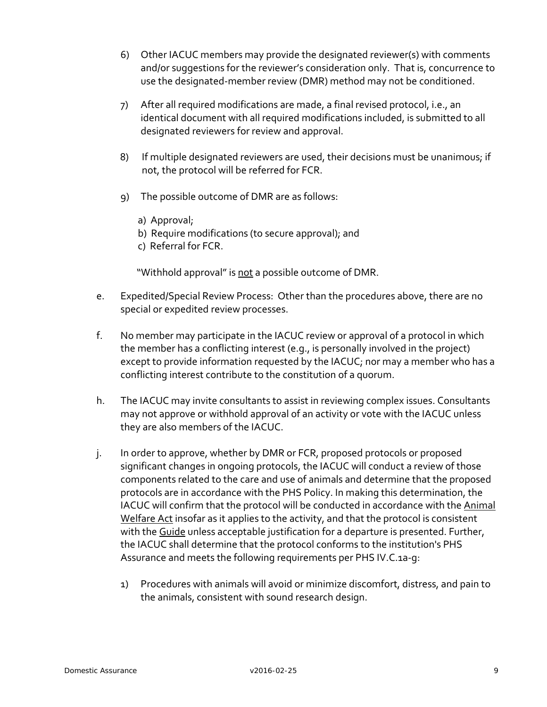- 6) Other IACUC members may provide the designated reviewer(s) with comments and/or suggestions for the reviewer's consideration only. That is, concurrence to use the designated-member review (DMR) method may not be conditioned.
- 7) After all required modifications are made, a final revised protocol, i.e., an identical document with all required modifications included, is submitted to all designated reviewers for review and approval.
- 8) If multiple designated reviewers are used, their decisions must be unanimous; if not, the protocol will be referred for FCR.
- 9) The possible outcome of DMR are as follows:
	- a) Approval;
	- b) Require modifications (to secure approval); and
	- c) Referral for FCR.

"Withhold approval" is not a possible outcome of DMR.

- e. Expedited/Special Review Process: Other than the procedures above, there are no special or expedited review processes.
- f. No member may participate in the IACUC review or approval of a protocol in which the member has a conflicting interest (e.g., is personally involved in the project) except to provide information requested by the IACUC; nor may a member who has a conflicting interest contribute to the constitution of a quorum.
- h. The IACUC may invite consultants to assist in reviewing complex issues. Consultants may not approve or withhold approval of an activity or vote with the IACUC unless they are also members of the IACUC.
- j. In order to approve, whether by DMR or FCR, proposed protocols or proposed significant changes in ongoing protocols, the IACUC will conduct a review of those components related to the care and use of animals and determine that the proposed protocols are in accordance with the PHS Policy. In making this determination, the IACUC will confirm that the protocol will be conducted in accordance with the [Animal](http://www.nal.usda.gov/awic/legislat/awa.htm)  [Welfare Act](http://www.nal.usda.gov/awic/legislat/awa.htm) insofar as it applies to the activity, and that the protocol is consistent with the [Guide](http://www.nap.edu/readingroom/books/labrats/) unless acceptable justification for a departure is presented. Further, the IACUC shall determine that the protocol conforms to the institution's PHS Assurance and meets the following requirements per PHS IV.C.1a-g:
	- 1) Procedures with animals will avoid or minimize discomfort, distress, and pain to the animals, consistent with sound research design.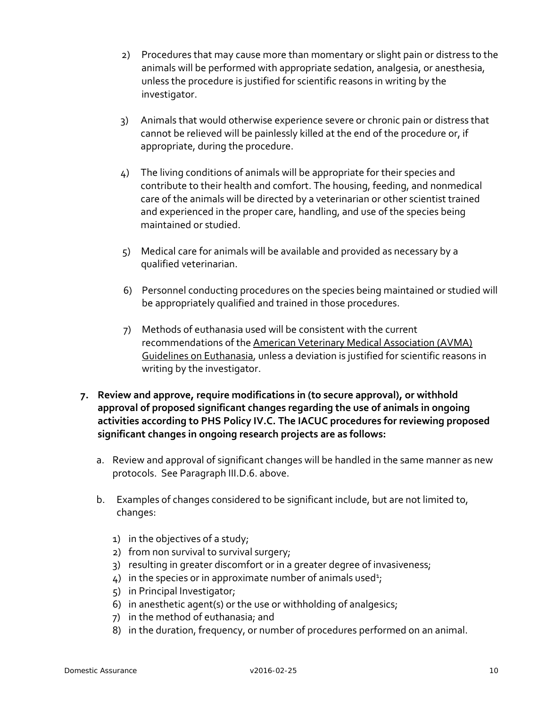- 2) Procedures that may cause more than momentary or slight pain or distress to the animals will be performed with appropriate sedation, analgesia, or anesthesia, unless the procedure is justified for scientific reasons in writing by the investigator.
- 3) Animals that would otherwise experience severe or chronic pain or distress that cannot be relieved will be painlessly killed at the end of the procedure or, if appropriate, during the procedure.
- 4) The living conditions of animals will be appropriate for their species and contribute to their health and comfort. The housing, feeding, and nonmedical care of the animals will be directed by a veterinarian or other scientist trained and experienced in the proper care, handling, and use of the species being maintained or studied.
- 5) Medical care for animals will be available and provided as necessary by a qualified veterinarian.
- 6) Personnel conducting procedures on the species being maintained or studied will be appropriately qualified and trained in those procedures.
- 7) Methods of euthanasia used will be consistent with the current recommendations of th[e American Veterinary Medical Association \(AVMA\)](http://www.avma.org/resources/euthanasia.pdf)  [Guidelines on Euthanasia,](http://www.avma.org/resources/euthanasia.pdf) unless a deviation is justified for scientific reasons in writing by the investigator.
- **7. Review and approve, require modifications in (to secure approval), or withhold approval of proposed significant changes regarding the use of animals in ongoing activities according to PHS Policy IV.C. The IACUC procedures for reviewing proposed significant changes in ongoing research projects are as follows:**
	- a. Review and approval of significant changes will be handled in the same manner as new protocols. See Paragraph III.D.6. above.
	- b. Examples of changes considered to be significant include, but are not limited to, changes:
		- 1) in the objectives of a study;
		- 2) from non survival to survival surgery;
		- 3) resulting in greater discomfort or in a greater degree of invasiveness;
		- $4)$  in the species or in approximate number of animals used<sup>1</sup>;
		- 5) in Principal Investigator;
		- 6) in anesthetic agent(s) or the use or withholding of analgesics;
		- 7) in the method of euthanasia; and
		- 8) in the duration, frequency, or number of procedures performed on an animal.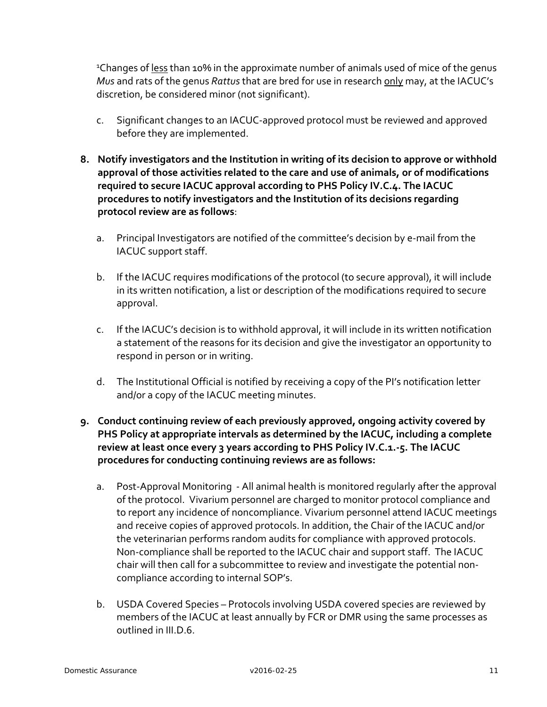<sup>1</sup>Changes of less than 10% in the approximate number of animals used of mice of the genus *Mus* and rats of the genus *Rattus* that are bred for use in research only may, at the IACUC's discretion, be considered minor (not significant).

- c. Significant changes to an IACUC-approved protocol must be reviewed and approved before they are implemented.
- **8. Notify investigators and the Institution in writing of its decision to approve or withhold approval of those activities related to the care and use of animals, or of modifications required to secure IACUC approval according to PHS Policy IV.C.4. The IACUC procedures to notify investigators and the Institution of its decisions regarding protocol review are as follows**:
	- a. Principal Investigators are notified of the committee's decision by e-mail from the IACUC support staff.
	- b. If the IACUC requires modifications of the protocol (to secure approval), it will include in its written notification, a list or description of the modifications required to secure approval.
	- c. If the IACUC's decision is to withhold approval, it will include in its written notification a statement of the reasons for its decision and give the investigator an opportunity to respond in person or in writing.
	- d. The Institutional Official is notified by receiving a copy of the PI's notification letter and/or a copy of the IACUC meeting minutes.
- **9. Conduct continuing review of each previously approved, ongoing activity covered by PHS Policy at appropriate intervals as determined by the IACUC, including a complete review at least once every 3 years according to PHS Policy IV.C.1.-5. The IACUC procedures for conducting continuing reviews are as follows:**
	- a. Post-Approval Monitoring All animal health is monitored regularly after the approval of the protocol. Vivarium personnel are charged to monitor protocol compliance and to report any incidence of noncompliance. Vivarium personnel attend IACUC meetings and receive copies of approved protocols. In addition, the Chair of the IACUC and/or the veterinarian performs random audits for compliance with approved protocols. Non-compliance shall be reported to the IACUC chair and support staff. The IACUC chair will then call for a subcommittee to review and investigate the potential noncompliance according to internal SOP's.
	- b. USDA Covered Species Protocols involving USDA covered species are reviewed by members of the IACUC at least annually by FCR or DMR using the same processes as outlined in III.D.6.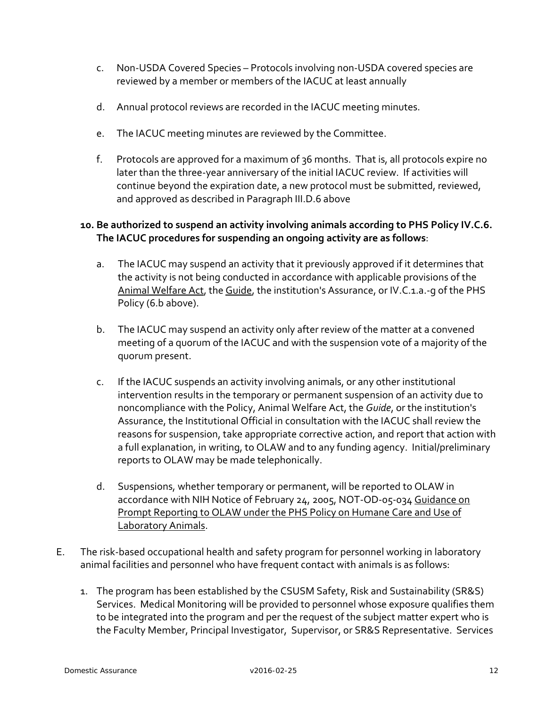- c. Non-USDA Covered Species Protocols involving non-USDA covered species are reviewed by a member or members of the IACUC at least annually
- d. Annual protocol reviews are recorded in the IACUC meeting minutes.
- e. The IACUC meeting minutes are reviewed by the Committee.
- f. Protocols are approved for a maximum of 36 months. That is, all protocols expire no later than the three-year anniversary of the initial IACUC review. If activities will continue beyond the expiration date, a new protocol must be submitted, reviewed, and approved as described in Paragraph III.D.6 above

#### **10. Be authorized to suspend an activity involving animals according to PHS Policy IV.C.6. The IACUC procedures for suspending an ongoing activity are as follows**:

- a. The IACUC may suspend an activity that it previously approved if it determines that the activity is not being conducted in accordance with applicable provisions of the Animal Welfare Act, the Guide, the institution's Assurance, or IV.C.1.a.-q of the PHS Policy (6.b above).
- b. The IACUC may suspend an activity only after review of the matter at a convened meeting of a quorum of the IACUC and with the suspension vote of a majority of the quorum present.
- c. If the IACUC suspends an activity involving animals, or any other institutional intervention results in the temporary or permanent suspension of an activity due to noncompliance with the Policy, Animal Welfare Act, the *Guide*, or the institution's Assurance, the Institutional Official in consultation with the IACUC shall review the reasons for suspension, take appropriate corrective action, and report that action with a full explanation, in writing, to OLAW and to any funding agency. Initial/preliminary reports to OLAW may be made telephonically.
- d. Suspensions, whether temporary or permanent, will be reported to OLAW in accordance with NIH Notice of February 24, 2005, NOT-OD-05-034 Guidance on Prompt Reporting to OLAW under the PHS Policy on Humane Care and Use of Laboratory Animals.
- E. The risk-based occupational health and safety program for personnel working in laboratory animal facilities and personnel who have frequent contact with animals is as follows:
	- 1. The program has been established by the CSUSM Safety, Risk and Sustainability (SR&S) Services. Medical Monitoring will be provided to personnel whose exposure qualifies them to be integrated into the program and per the request of the subject matter expert who is the Faculty Member, Principal Investigator, Supervisor, or SR&S Representative. Services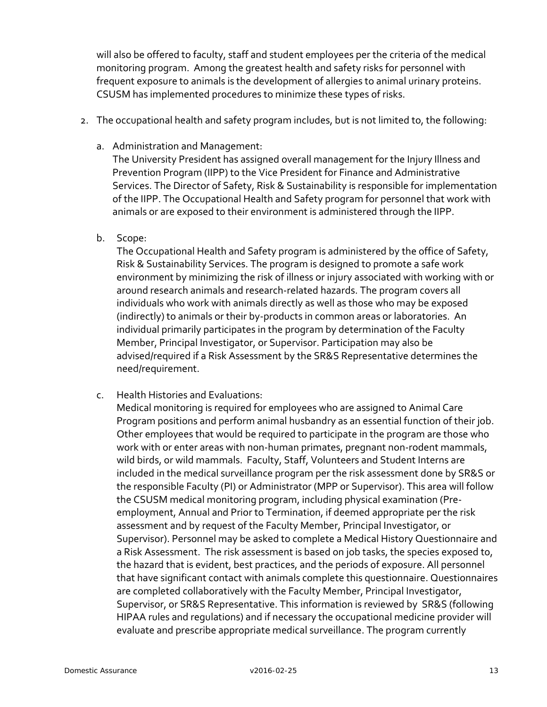will also be offered to faculty, staff and student employees per the criteria of the medical monitoring program. Among the greatest health and safety risks for personnel with frequent exposure to animals is the development of allergies to animal urinary proteins. CSUSM has implemented procedures to minimize these types of risks.

- 2. The occupational health and safety program includes, but is not limited to, the following:
	- a. Administration and Management:

The University President has assigned overall management for the Injury Illness and Prevention Program (IIPP) to the Vice President for Finance and Administrative Services. The Director of Safety, Risk & Sustainability is responsible for implementation of the IIPP. The Occupational Health and Safety program for personnel that work with animals or are exposed to their environment is administered through the IIPP.

b. Scope:

The Occupational Health and Safety program is administered by the office of Safety, Risk & Sustainability Services. The program is designed to promote a safe work environment by minimizing the risk of illness or injury associated with working with or around research animals and research-related hazards. The program covers all individuals who work with animals directly as well as those who may be exposed (indirectly) to animals or their by-products in common areas or laboratories. An individual primarily participates in the program by determination of the Faculty Member, Principal Investigator, or Supervisor. Participation may also be advised/required if a Risk Assessment by the SR&S Representative determines the need/requirement.

c. Health Histories and Evaluations:

Medical monitoring is required for employees who are assigned to Animal Care Program positions and perform animal husbandry as an essential function of their job. Other employees that would be required to participate in the program are those who work with or enter areas with non-human primates, pregnant non-rodent mammals, wild birds, or wild mammals. Faculty, Staff, Volunteers and Student Interns are included in the medical surveillance program per the risk assessment done by SR&S or the responsible Faculty (PI) or Administrator (MPP or Supervisor). This area will follow the CSUSM medical monitoring program, including physical examination (Preemployment, Annual and Prior to Termination, if deemed appropriate per the risk assessment and by request of the Faculty Member, Principal Investigator, or Supervisor). Personnel may be asked to complete a Medical History Questionnaire and a Risk Assessment. The risk assessment is based on job tasks, the species exposed to, the hazard that is evident, best practices, and the periods of exposure. All personnel that have significant contact with animals complete this questionnaire. Questionnaires are completed collaboratively with the Faculty Member, Principal Investigator, Supervisor, or SR&S Representative. This information is reviewed by SR&S (following HIPAA rules and regulations) and if necessary the occupational medicine provider will evaluate and prescribe appropriate medical surveillance. The program currently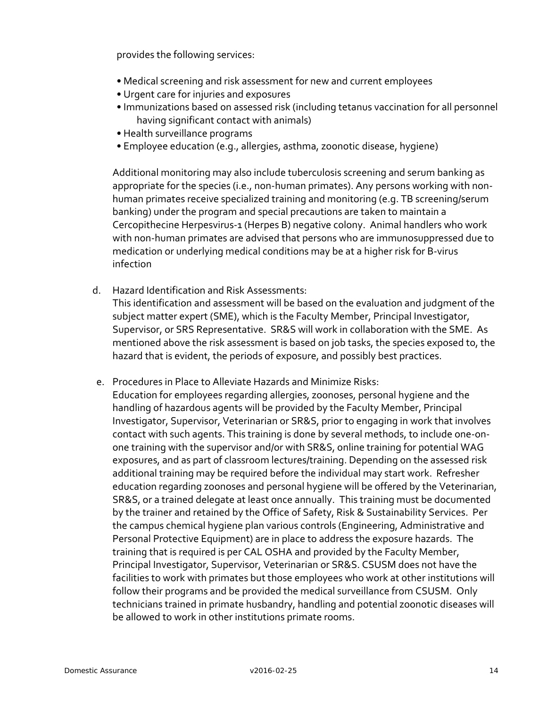provides the following services:

- Medical screening and risk assessment for new and current employees
- Urgent care for injuries and exposures
- Immunizations based on assessed risk (including tetanus vaccination for all personnel having significant contact with animals)
- Health surveillance programs
- Employee education (e.g., allergies, asthma, zoonotic disease, hygiene)

Additional monitoring may also include tuberculosis screening and serum banking as appropriate for the species (i.e., non-human primates). Any persons working with nonhuman primates receive specialized training and monitoring (e.g. TB screening/serum banking) under the program and special precautions are taken to maintain a Cercopithecine Herpesvirus-1 (Herpes B) negative colony. Animal handlers who work with non-human primates are advised that persons who are immunosuppressed due to medication or underlying medical conditions may be at a higher risk for B-virus infection

d. Hazard Identification and Risk Assessments:

This identification and assessment will be based on the evaluation and judgment of the subject matter expert (SME), which is the Faculty Member, Principal Investigator, Supervisor, or SRS Representative. SR&S will work in collaboration with the SME. As mentioned above the risk assessment is based on job tasks, the species exposed to, the hazard that is evident, the periods of exposure, and possibly best practices.

- e. Procedures in Place to Alleviate Hazards and Minimize Risks:
	- Education for employees regarding allergies, zoonoses, personal hygiene and the handling of hazardous agents will be provided by the Faculty Member, Principal Investigator, Supervisor, Veterinarian or SR&S, prior to engaging in work that involves contact with such agents. This training is done by several methods, to include one-onone training with the supervisor and/or with SR&S, online training for potential WAG exposures, and as part of classroom lectures/training. Depending on the assessed risk additional training may be required before the individual may start work. Refresher education regarding zoonoses and personal hygiene will be offered by the Veterinarian, SR&S, or a trained delegate at least once annually. This training must be documented by the trainer and retained by the Office of Safety, Risk & Sustainability Services. Per the campus chemical hygiene plan various controls (Engineering, Administrative and Personal Protective Equipment) are in place to address the exposure hazards. The training that is required is per CAL OSHA and provided by the Faculty Member, Principal Investigator, Supervisor, Veterinarian or SR&S. CSUSM does not have the facilities to work with primates but those employees who work at other institutions will follow their programs and be provided the medical surveillance from CSUSM. Only technicians trained in primate husbandry, handling and potential zoonotic diseases will be allowed to work in other institutions primate rooms.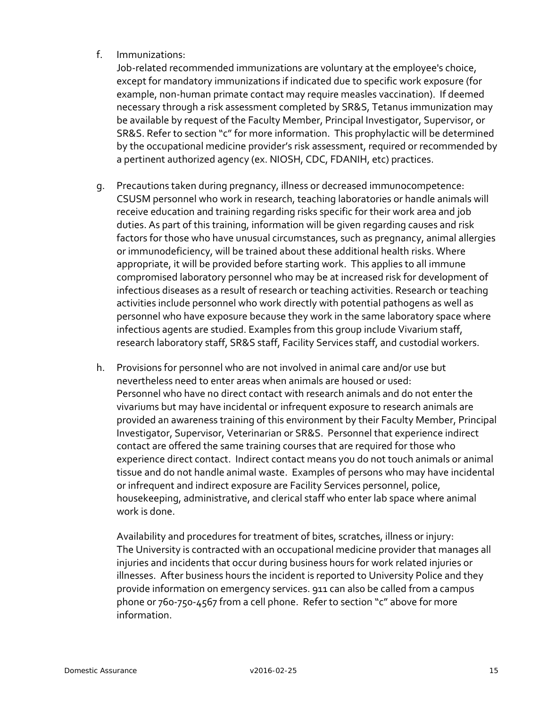f. Immunizations:

Job-related recommended immunizations are voluntary at the employee's choice, except for mandatory immunizations if indicated due to specific work exposure (for example, non-human primate contact may require measles vaccination). If deemed necessary through a risk assessment completed by SR&S, Tetanus immunization may be available by request of the Faculty Member, Principal Investigator, Supervisor, or SR&S. Refer to section "c" for more information. This prophylactic will be determined by the occupational medicine provider's risk assessment, required or recommended by a pertinent authorized agency (ex. NIOSH, CDC, FDANIH, etc) practices.

- g. Precautions taken during pregnancy, illness or decreased immunocompetence: CSUSM personnel who work in research, teaching laboratories or handle animals will receive education and training regarding risks specific for their work area and job duties. As part of this training, information will be given regarding causes and risk factors for those who have unusual circumstances, such as pregnancy, animal allergies or immunodeficiency, will be trained about these additional health risks. Where appropriate, it will be provided before starting work. This applies to all immune compromised laboratory personnel who may be at increased risk for development of infectious diseases as a result of research or teaching activities. Research or teaching activities include personnel who work directly with potential pathogens as well as personnel who have exposure because they work in the same laboratory space where infectious agents are studied. Examples from this group include Vivarium staff, research laboratory staff, SR&S staff, Facility Services staff, and custodial workers.
- h. Provisions for personnel who are not involved in animal care and/or use but nevertheless need to enter areas when animals are housed or used: Personnel who have no direct contact with research animals and do not enter the vivariums but may have incidental or infrequent exposure to research animals are provided an awareness training of this environment by their Faculty Member, Principal Investigator, Supervisor, Veterinarian or SR&S. Personnel that experience indirect contact are offered the same training courses that are required for those who experience direct contact. Indirect contact means you do not touch animals or animal tissue and do not handle animal waste. Examples of persons who may have incidental or infrequent and indirect exposure are Facility Services personnel, police, housekeeping, administrative, and clerical staff who enter lab space where animal work is done.

Availability and procedures for treatment of bites, scratches, illness or injury: The University is contracted with an occupational medicine provider that manages all injuries and incidents that occur during business hours for work related injuries or illnesses. After business hours the incident is reported to University Police and they provide information on emergency services. 911 can also be called from a campus phone or 760-750-4567 from a cell phone. Refer to section "c" above for more information.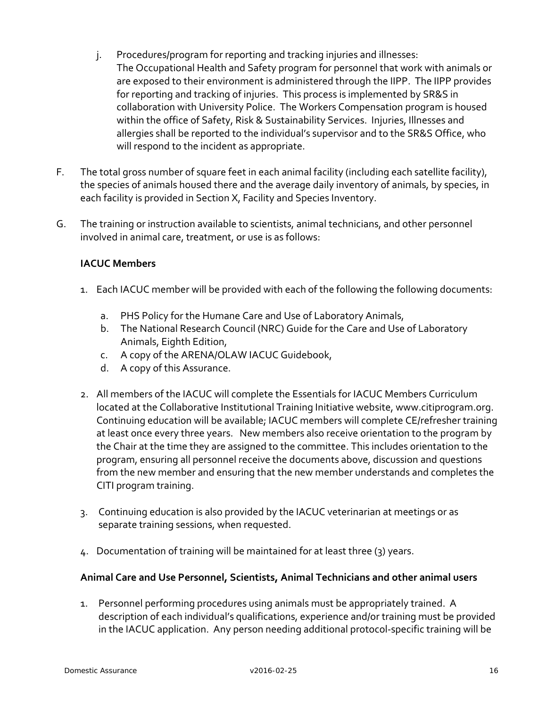- j. Procedures/program for reporting and tracking injuries and illnesses: The Occupational Health and Safety program for personnel that work with animals or are exposed to their environment is administered through the IIPP. The IIPP provides for reporting and tracking of injuries. This process is implemented by SR&S in collaboration with University Police. The Workers Compensation program is housed within the office of Safety, Risk & Sustainability Services. Injuries, Illnesses and allergies shall be reported to the individual's supervisor and to the SR&S Office, who will respond to the incident as appropriate.
- F. The total gross number of square feet in each animal facility (including each satellite facility), the species of animals housed there and the average daily inventory of animals, by species, in each facility is provided in Section X, Facility and Species Inventory.
- G. The training or instruction available to scientists, animal technicians, and other personnel involved in animal care, treatment, or use is as follows:

# **IACUC Members**

- 1. Each IACUC member will be provided with each of the following the following documents:
	- a. PHS Policy for the Humane Care and Use of Laboratory Animals,
	- b. The National Research Council (NRC) Guide for the Care and Use of Laboratory Animals, Eighth Edition,
	- c. A copy of the ARENA/OLAW IACUC Guidebook,
	- d. A copy of this Assurance.
- 2. All members of the IACUC will complete the Essentials for IACUC Members Curriculum located at the Collaborative Institutional Training Initiative website, www.citiprogram.org. Continuing education will be available; IACUC members will complete CE/refresher training at least once every three years. New members also receive orientation to the program by the Chair at the time they are assigned to the committee. This includes orientation to the program, ensuring all personnel receive the documents above, discussion and questions from the new member and ensuring that the new member understands and completes the CITI program training.
- 3. Continuing education is also provided by the IACUC veterinarian at meetings or as separate training sessions, when requested.
- 4. Documentation of training will be maintained for at least three (3) years.

#### **Animal Care and Use Personnel, Scientists, Animal Technicians and other animal users**

1. Personnel performing procedures using animals must be appropriately trained. A description of each individual's qualifications, experience and/or training must be provided in the IACUC application. Any person needing additional protocol-specific training will be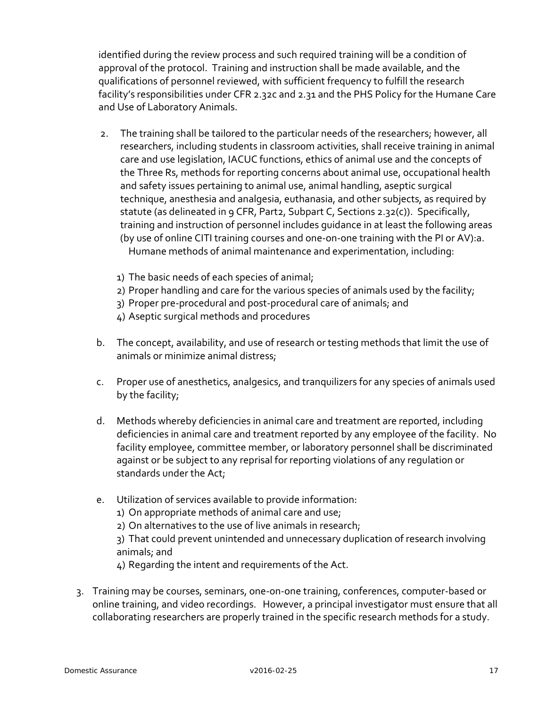identified during the review process and such required training will be a condition of approval of the protocol. Training and instruction shall be made available, and the qualifications of personnel reviewed, with sufficient frequency to fulfill the research facility's responsibilities under CFR 2.32c and 2.31 and the PHS Policy for the Humane Care and Use of Laboratory Animals.

- 2. The training shall be tailored to the particular needs of the researchers; however, all researchers, including students in classroom activities, shall receive training in animal care and use legislation, IACUC functions, ethics of animal use and the concepts of the Three Rs, methods for reporting concerns about animal use, occupational health and safety issues pertaining to animal use, animal handling, aseptic surgical technique, anesthesia and analgesia, euthanasia, and other subjects, as required by statute (as delineated in 9 CFR, Part2, Subpart C, Sections 2.32(c)). Specifically, training and instruction of personnel includes guidance in at least the following areas (by use of online CITI training courses and one-on-one training with the PI or AV):a. Humane methods of animal maintenance and experimentation, including:
	- 1) The basic needs of each species of animal;
	- 2) Proper handling and care for the various species of animals used by the facility;
	- 3) Proper pre-procedural and post-procedural care of animals; and
	- 4) Aseptic surgical methods and procedures
- b. The concept, availability, and use of research or testing methods that limit the use of animals or minimize animal distress;
- c. Proper use of anesthetics, analgesics, and tranquilizers for any species of animals used by the facility;
- d. Methods whereby deficiencies in animal care and treatment are reported, including deficiencies in animal care and treatment reported by any employee of the facility. No facility employee, committee member, or laboratory personnel shall be discriminated against or be subject to any reprisal for reporting violations of any regulation or standards under the Act;
- e. Utilization of services available to provide information:

1) On appropriate methods of animal care and use;

2) On alternatives to the use of live animals in research;

3) That could prevent unintended and unnecessary duplication of research involving animals; and

4) Regarding the intent and requirements of the Act.

3. Training may be courses, seminars, one-on-one training, conferences, computer-based or online training, and video recordings. However, a principal investigator must ensure that all collaborating researchers are properly trained in the specific research methods for a study.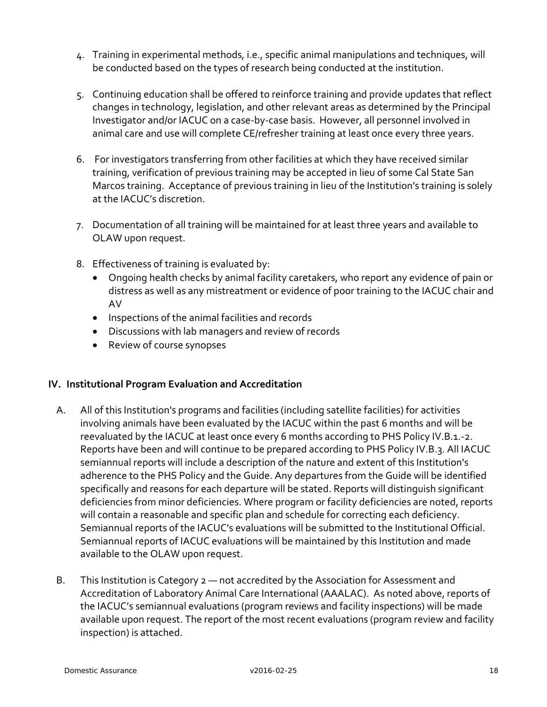- 4. Training in experimental methods, i.e., specific animal manipulations and techniques, will be conducted based on the types of research being conducted at the institution.
- 5. Continuing education shall be offered to reinforce training and provide updates that reflect changes in technology, legislation, and other relevant areas as determined by the Principal Investigator and/or IACUC on a case-by-case basis. However, all personnel involved in animal care and use will complete CE/refresher training at least once every three years.
- 6. For investigators transferring from other facilities at which they have received similar training, verification of previous training may be accepted in lieu of some Cal State San Marcos training. Acceptance of previous training in lieu of the Institution's training is solely at the IACUC's discretion.
- 7. Documentation of all training will be maintained for at least three years and available to OLAW upon request.
- 8. Effectiveness of training is evaluated by:
	- Ongoing health checks by animal facility caretakers, who report any evidence of pain or distress as well as any mistreatment or evidence of poor training to the IACUC chair and AV
	- Inspections of the animal facilities and records
	- Discussions with lab managers and review of records
	- Review of course synopses

#### **IV. Institutional Program Evaluation and Accreditation**

- A. All of this Institution's programs and facilities (including satellite facilities) for activities involving animals have been evaluated by the IACUC within the past 6 months and will be reevaluated by the IACUC at least once every 6 months according to PHS Policy IV.B.1.-2. Reports have been and will continue to be prepared according to PHS Policy IV.B.3. All IACUC semiannual reports will include a description of the nature and extent of this Institution's adherence to the PHS Policy and the Guide. Any departures from the Guide will be identified specifically and reasons for each departure will be stated. Reports will distinguish significant deficiencies from minor deficiencies. Where program or facility deficiencies are noted, reports will contain a reasonable and specific plan and schedule for correcting each deficiency. Semiannual reports of the IACUC's evaluations will be submitted to the Institutional Official. Semiannual reports of IACUC evaluations will be maintained by this Institution and made available to the OLAW upon request.
- B. This Institution is Category 2 not accredited by the [Association for Assessment and](http://www.aaalac.org/)  [Accreditation of Laboratory Animal Care International \(AAALAC\).](http://www.aaalac.org/) As noted above, reports of the IACUC's semiannual evaluations (program reviews and facility inspections) will be made available upon request. The report of the most recent evaluations (program review and facility inspection) is attached.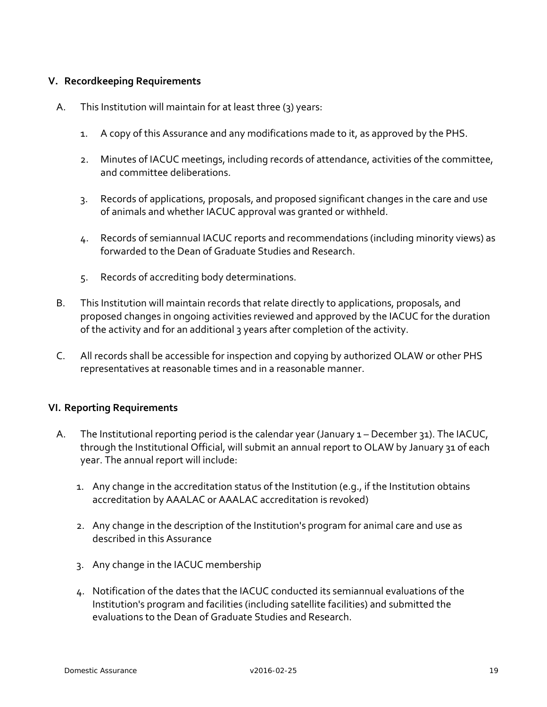#### **V. Recordkeeping Requirements**

- A. This Institution will maintain for at least three (3) years:
	- 1. A copy of this Assurance and any modifications made to it, as approved by the PHS.
	- 2. Minutes of IACUC meetings, including records of attendance, activities of the committee, and committee deliberations.
	- 3. Records of applications, proposals, and proposed significant changes in the care and use of animals and whether IACUC approval was granted or withheld.
	- 4. Records of semiannual IACUC reports and recommendations (including minority views) as forwarded to the Dean of Graduate Studies and Research.
	- 5. Records of accrediting body determinations.
- B. This Institution will maintain records that relate directly to applications, proposals, and proposed changes in ongoing activities reviewed and approved by the IACUC for the duration of the activity and for an additional 3 years after completion of the activity.
- C. All records shall be accessible for inspection and copying by authorized OLAW or other PHS representatives at reasonable times and in a reasonable manner.

#### **VI. Reporting Requirements**

- A. The Institutional reporting period is the calendar year (January 1 December 31). The IACUC, through the Institutional Official, will submit an annual report to OLAW by January 31 of each year. The annual report will include:
	- 1. Any change in the accreditation status of the Institution (e.g., if the Institution obtains accreditation by AAALAC or AAALAC accreditation is revoked)
	- 2. Any change in the description of the Institution's program for animal care and use as described in this Assurance
	- 3. Any change in the IACUC membership
	- 4. Notification of the dates that the IACUC conducted its semiannual evaluations of the Institution's program and facilities (including satellite facilities) and submitted the evaluations to the Dean of Graduate Studies and Research.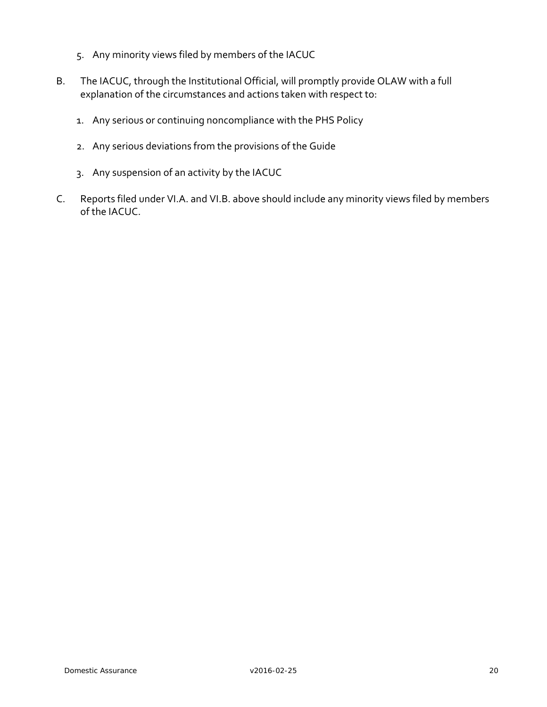- 5. Any minority views filed by members of the IACUC
- B. The IACUC, through the Institutional Official, will promptly provide OLAW with a full explanation of the circumstances and actions taken with respect to:
	- 1. Any serious or continuing noncompliance with the PHS Policy
	- 2. Any serious deviations from the provisions of the Guide
	- 3. Any suspension of an activity by the IACUC
- C. Reports filed under VI.A. and VI.B. above should include any minority views filed by members of the IACUC.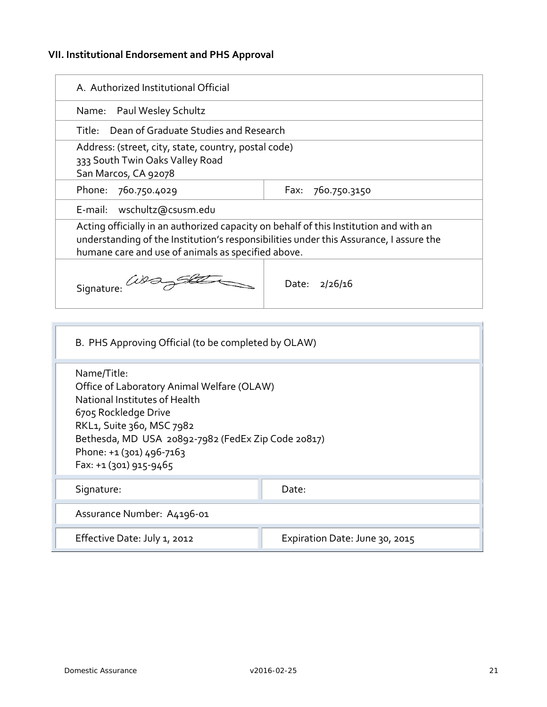# **VII. Institutional Endorsement and PHS Approval**

| A. Authorized Institutional Official                                                                                                                                                                                                                        |                                       |  |  |  |
|-------------------------------------------------------------------------------------------------------------------------------------------------------------------------------------------------------------------------------------------------------------|---------------------------------------|--|--|--|
| Name: Paul Wesley Schultz                                                                                                                                                                                                                                   |                                       |  |  |  |
| Title:                                                                                                                                                                                                                                                      | Dean of Graduate Studies and Research |  |  |  |
| Address: (street, city, state, country, postal code)<br>333 South Twin Oaks Valley Road<br>San Marcos, CA 92078                                                                                                                                             |                                       |  |  |  |
| Phone: 760.750.4029                                                                                                                                                                                                                                         | 760.750.3150<br>Fax:                  |  |  |  |
| E-mail: wschultz@csusm.edu                                                                                                                                                                                                                                  |                                       |  |  |  |
| Acting officially in an authorized capacity on behalf of this Institution and with an<br>understanding of the Institution's responsibilities under this Assurance, I assure the<br>humane care and use of animals as specified above.                       |                                       |  |  |  |
| Signature:                                                                                                                                                                                                                                                  | Date: 2/26/16                         |  |  |  |
| B. PHS Approving Official (to be completed by OLAW)                                                                                                                                                                                                         |                                       |  |  |  |
| Name/Title:<br>Office of Laboratory Animal Welfare (OLAW)<br>National Institutes of Health<br>6705 Rockledge Drive<br>RKL1, Suite 360, MSC 7982<br>Bethesda, MD USA 20892-7982 (FedEx Zip Code 20817)<br>Phone: +1 (301) 496-7163<br>Fax: +1 (301) 915-9465 |                                       |  |  |  |
| Signature:                                                                                                                                                                                                                                                  | Date:                                 |  |  |  |
| Assurance Number: A4196-01                                                                                                                                                                                                                                  |                                       |  |  |  |
| Effective Date: July 1, 2012                                                                                                                                                                                                                                | Expiration Date: June 30, 2015        |  |  |  |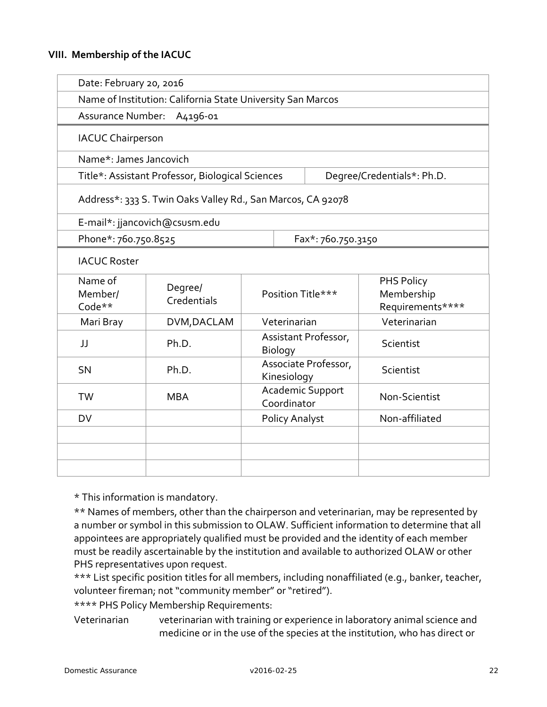#### **VIII. Membership of the IACUC**

|                                                             | Date: February 20, 2016                                     |                                     |  |                                              |  |  |  |
|-------------------------------------------------------------|-------------------------------------------------------------|-------------------------------------|--|----------------------------------------------|--|--|--|
| Name of Institution: California State University San Marcos |                                                             |                                     |  |                                              |  |  |  |
|                                                             | <b>Assurance Number:</b><br>A4196-01                        |                                     |  |                                              |  |  |  |
| <b>IACUC Chairperson</b>                                    |                                                             |                                     |  |                                              |  |  |  |
|                                                             | Name*: James Jancovich                                      |                                     |  |                                              |  |  |  |
|                                                             | Title*: Assistant Professor, Biological Sciences            |                                     |  | Degree/Credentials*: Ph.D.                   |  |  |  |
|                                                             | Address*: 333 S. Twin Oaks Valley Rd., San Marcos, CA 92078 |                                     |  |                                              |  |  |  |
|                                                             | E-mail*: jjancovich@csusm.edu                               |                                     |  |                                              |  |  |  |
|                                                             | Phone*: 760.750.8525                                        |                                     |  | Fax*: 760.750.3150                           |  |  |  |
| <b>IACUC Roster</b>                                         |                                                             |                                     |  |                                              |  |  |  |
| Name of<br>Member/<br>Code**                                | Degree/<br>Credentials                                      | Position Title***                   |  | PHS Policy<br>Membership<br>Requirements**** |  |  |  |
| Mari Bray                                                   | DVM, DACLAM                                                 | Veterinarian                        |  | Veterinarian                                 |  |  |  |
| JJ                                                          | Ph.D.                                                       | Assistant Professor,<br>Biology     |  | Scientist                                    |  |  |  |
| <b>SN</b>                                                   | Ph.D.                                                       | Associate Professor,<br>Kinesiology |  | Scientist                                    |  |  |  |
| <b>TW</b>                                                   | <b>MBA</b>                                                  | Academic Support<br>Coordinator     |  | Non-Scientist                                |  |  |  |
| <b>DV</b>                                                   |                                                             | Policy Analyst                      |  | Non-affiliated                               |  |  |  |
|                                                             |                                                             |                                     |  |                                              |  |  |  |
|                                                             |                                                             |                                     |  |                                              |  |  |  |
|                                                             |                                                             |                                     |  |                                              |  |  |  |

\* This information is mandatory.

\*\* Names of members, other than the chairperson and veterinarian, may be represented by a number or symbol in this submission to OLAW. Sufficient information to determine that all appointees are appropriately qualified must be provided and the identity of each member must be readily ascertainable by the institution and available to authorized OLAW or other PHS representatives upon request.

\*\*\* List specific position titles for all members, including nonaffiliated (e.g., banker, teacher, volunteer fireman; not "community member" or "retired").

\*\*\*\* PHS Policy Membership Requirements:

Veterinarian veterinarian with training or experience in laboratory animal science and medicine or in the use of the species at the institution, who has direct or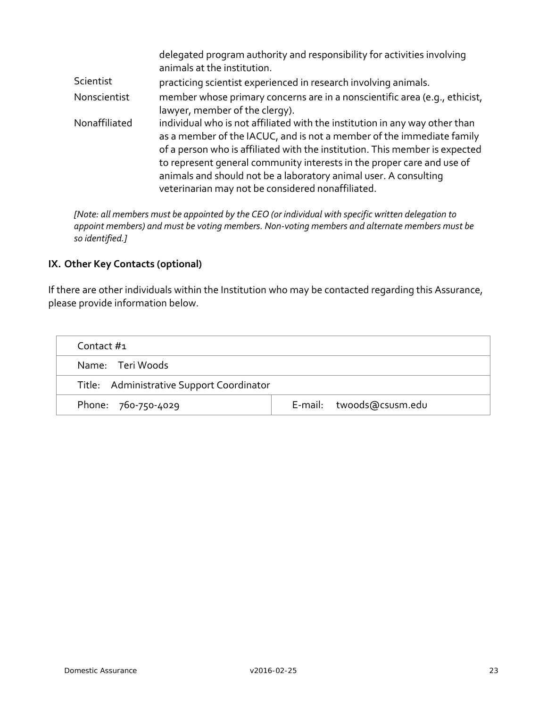|               | delegated program authority and responsibility for activities involving<br>animals at the institution.                                                                                                                                                                                                                                                                                                                                 |
|---------------|----------------------------------------------------------------------------------------------------------------------------------------------------------------------------------------------------------------------------------------------------------------------------------------------------------------------------------------------------------------------------------------------------------------------------------------|
| Scientist     | practicing scientist experienced in research involving animals.                                                                                                                                                                                                                                                                                                                                                                        |
| Nonscientist  | member whose primary concerns are in a nonscientific area (e.g., ethicist,<br>lawyer, member of the clergy).                                                                                                                                                                                                                                                                                                                           |
| Nonaffiliated | individual who is not affiliated with the institution in any way other than<br>as a member of the IACUC, and is not a member of the immediate family<br>of a person who is affiliated with the institution. This member is expected<br>to represent general community interests in the proper care and use of<br>animals and should not be a laboratory animal user. A consulting<br>veterinarian may not be considered nonaffiliated. |

*[Note: all members must be appointed by the CEO (or individual with specific written delegation to appoint members) and must be voting members. Non-voting members and alternate members must be so identified.]*

# **IX. Other Key Contacts (optional)**

If there are other individuals within the Institution who may be contacted regarding this Assurance, please provide information below.

| Contact #1                                |  |                          |  |  |
|-------------------------------------------|--|--------------------------|--|--|
| Name: Teri Woods                          |  |                          |  |  |
| Title: Administrative Support Coordinator |  |                          |  |  |
| Phone: 760-750-4029                       |  | E-mail: twoods@csusm.edu |  |  |